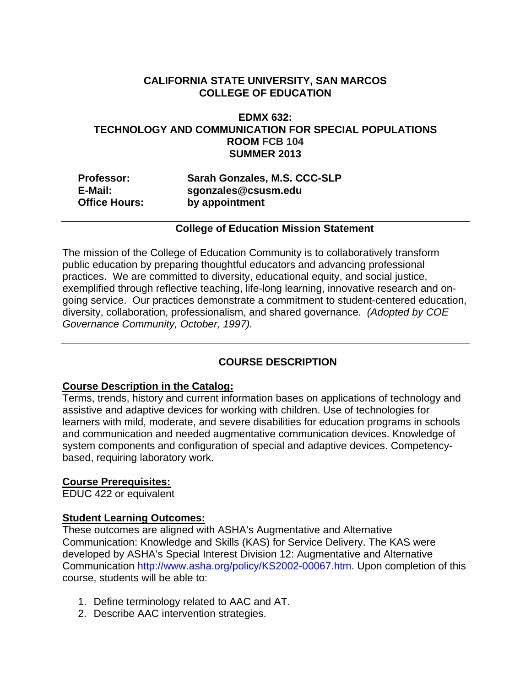### **CALIFORNIA STATE UNIVERSITY, SAN MARCOS COLLEGE OF EDUCATION**

### **EDMX 632: TECHNOLOGY AND COMMUNICATION FOR SPECIAL POPULATIONS ROOM FCB 104 SUMMER 2013**

| <b>Professor:</b>    | Sarah Gonzales, M.S. CCC-SLP |
|----------------------|------------------------------|
| E-Mail:              | sgonzales@csusm.edu          |
| <b>Office Hours:</b> | by appointment               |

#### **College of Education Mission Statement**

The mission of the College of Education Community is to collaboratively transform public education by preparing thoughtful educators and advancing professional practices. We are committed to diversity, educational equity, and social justice, exemplified through reflective teaching, life-long learning, innovative research and ongoing service. Our practices demonstrate a commitment to student-centered education, diversity, collaboration, professionalism, and shared governance. *(Adopted by COE Governance Community, October, 1997).* 

# **COURSE DESCRIPTION**

#### **Course Description in the Catalog:**

Terms, trends, history and current information bases on applications of technology and assistive and adaptive devices for working with children. Use of technologies for learners with mild, moderate, and severe disabilities for education programs in schools and communication and needed augmentative communication devices. Knowledge of system components and configuration of special and adaptive devices. Competencybased, requiring laboratory work.

# **Course Prerequisites:**

EDUC 422 or equivalent

#### **Student Learning Outcomes:**

These outcomes are aligned with ASHA's Augmentative and Alternative Communication: Knowledge and Skills (KAS) for Service Delivery. The KAS were developed by ASHA's Special Interest Division 12: Augmentative and Alternative Communication http://www.asha.org/policy/KS2002-00067.htm. Upon completion of this course, students will be able to:

- 1. Define terminology related to AAC and AT.
- 2. Describe AAC intervention strategies.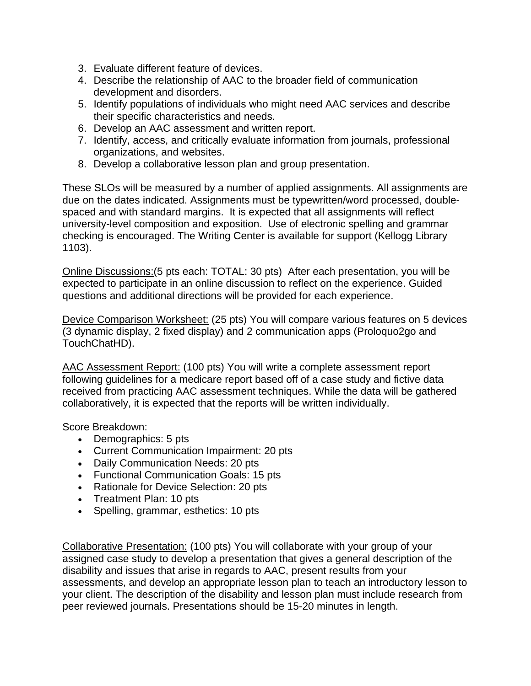- 3. Evaluate different feature of devices.
- 4. Describe the relationship of AAC to the broader field of communication development and disorders.
- 5. Identify populations of individuals who might need AAC services and describe their specific characteristics and needs.
- 6. Develop an AAC assessment and written report.
- 7. Identify, access, and critically evaluate information from journals, professional organizations, and websites.
- 8. Develop a collaborative lesson plan and group presentation.

These SLOs will be measured by a number of applied assignments. All assignments are due on the dates indicated. Assignments must be typewritten/word processed, doublespaced and with standard margins. It is expected that all assignments will reflect university-level composition and exposition. Use of electronic spelling and grammar checking is encouraged. The Writing Center is available for support (Kellogg Library 1103).

Online Discussions:(5 pts each: TOTAL: 30 pts) After each presentation, you will be expected to participate in an online discussion to reflect on the experience. Guided questions and additional directions will be provided for each experience.

Device Comparison Worksheet: (25 pts) You will compare various features on 5 devices (3 dynamic display, 2 fixed display) and 2 communication apps (Proloquo2go and TouchChatHD).

AAC Assessment Report: (100 pts) You will write a complete assessment report following guidelines for a medicare report based off of a case study and fictive data received from practicing AAC assessment techniques. While the data will be gathered collaboratively, it is expected that the reports will be written individually.

Score Breakdown:

- Demographics: 5 pts
- Current Communication Impairment: 20 pts
- Daily Communication Needs: 20 pts
- Functional Communication Goals: 15 pts
- Rationale for Device Selection: 20 pts
- Treatment Plan: 10 pts
- Spelling, grammar, esthetics: 10 pts

Collaborative Presentation: (100 pts) You will collaborate with your group of your assigned case study to develop a presentation that gives a general description of the disability and issues that arise in regards to AAC, present results from your assessments, and develop an appropriate lesson plan to teach an introductory lesson to your client. The description of the disability and lesson plan must include research from peer reviewed journals. Presentations should be 15-20 minutes in length.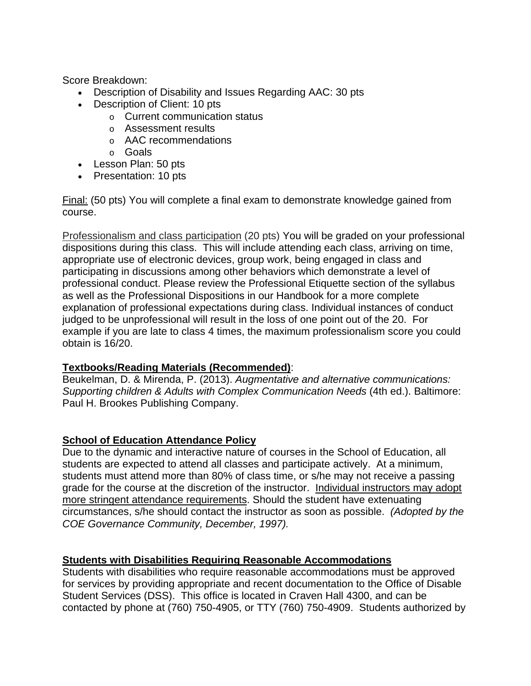Score Breakdown:

- Description of Disability and Issues Regarding AAC: 30 pts
- Description of Client: 10 pts
	- o Current communication status
	- o Assessment results
	- o AAC recommendations
	- o Goals
- Lesson Plan: 50 pts
- Presentation: 10 pts

Final: (50 pts) You will complete a final exam to demonstrate knowledge gained from course.

Professionalism and class participation (20 pts) You will be graded on your professional dispositions during this class. This will include attending each class, arriving on time, appropriate use of electronic devices, group work, being engaged in class and participating in discussions among other behaviors which demonstrate a level of professional conduct. Please review the Professional Etiquette section of the syllabus as well as the Professional Dispositions in our Handbook for a more complete explanation of professional expectations during class. Individual instances of conduct judged to be unprofessional will result in the loss of one point out of the 20. For example if you are late to class 4 times, the maximum professionalism score you could obtain is 16/20.

# **Textbooks/Reading Materials (Recommended)**:

Beukelman, D. & Mirenda, P. (2013). *Augmentative and alternative communications: Supporting children & Adults with Complex Communication Needs (4th ed.). Baltimore:* Paul H. Brookes Publishing Company.

# **School of Education Attendance Policy**

 *COE Governance Community, December, 1997).* Due to the dynamic and interactive nature of courses in the School of Education, all students are expected to attend all classes and participate actively. At a minimum, students must attend more than 80% of class time, or s/he may not receive a passing grade for the course at the discretion of the instructor. Individual instructors may adopt more stringent attendance requirements. Should the student have extenuating circumstances, s/he should contact the instructor as soon as possible. *(Adopted by the* 

# **Students with Disabilities Requiring Reasonable Accommodations**

Students with disabilities who require reasonable accommodations must be approved for services by providing appropriate and recent documentation to the Office of Disable Student Services (DSS). This office is located in Craven Hall 4300, and can be contacted by phone at (760) 750-4905, or TTY (760) 750-4909. Students authorized by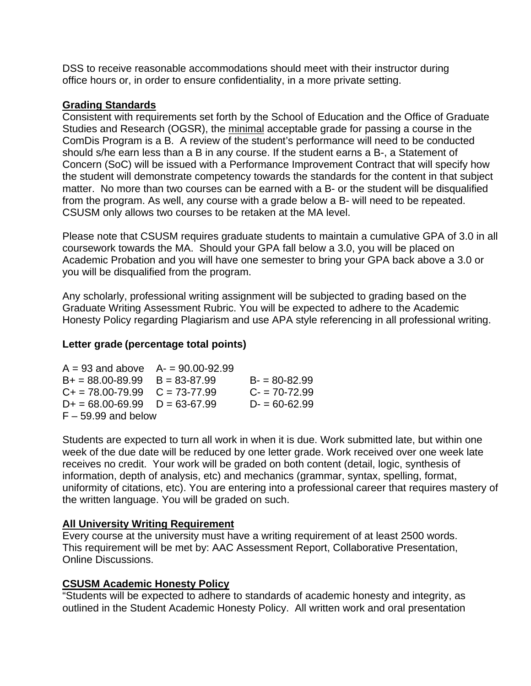DSS to receive reasonable accommodations should meet with their instructor during office hours or, in order to ensure confidentiality, in a more private setting.

### **Grading Standards**

Consistent with requirements set forth by the School of Education and the Office of Graduate Studies and Research (OGSR), the minimal acceptable grade for passing a course in the ComDis Program is a B. A review of the student's performance will need to be conducted should s/he earn less than a B in any course. If the student earns a B-, a Statement of Concern (SoC) will be issued with a Performance Improvement Contract that will specify how the student will demonstrate competency towards the standards for the content in that subject matter. No more than two courses can be earned with a B- or the student will be disqualified from the program. As well, any course with a grade below a B- will need to be repeated. CSUSM only allows two courses to be retaken at the MA level.

Please note that CSUSM requires graduate students to maintain a cumulative GPA of 3.0 in all coursework towards the MA. Should your GPA fall below a 3.0, you will be placed on Academic Probation and you will have one semester to bring your GPA back above a 3.0 or you will be disqualified from the program.

Any scholarly, professional writing assignment will be subjected to grading based on the Graduate Writing Assessment Rubric. You will be expected to adhere to the Academic Honesty Policy regarding Plagiarism and use APA style referencing in all professional writing.

### **Letter grade (percentage total points)**

| $A = 93$ and above $A = 90.00 - 92.99$ |  |                  |  |  |  |
|----------------------------------------|--|------------------|--|--|--|
| $B+ = 88.00 - 89.99$ $B = 83 - 87.99$  |  | $B = 80 - 82.99$ |  |  |  |
| $C_+ = 78.00 - 79.99$ $C = 73 - 77.99$ |  | $C = 70 - 72.99$ |  |  |  |
| $D+ = 68.00 - 69.99$ $D = 63 - 67.99$  |  | $D = 60 - 62.99$ |  |  |  |
| $F - 59.99$ and below                  |  |                  |  |  |  |

Students are expected to turn all work in when it is due. Work submitted late, but within one week of the due date will be reduced by one letter grade. Work received over one week late receives no credit. Your work will be graded on both content (detail, logic, synthesis of information, depth of analysis, etc) and mechanics (grammar, syntax, spelling, format, uniformity of citations, etc). You are entering into a professional career that requires mastery of the written language. You will be graded on such.

#### **All University Writing Requirement**

Every course at the university must have a writing requirement of at least 2500 words. This requirement will be met by: AAC Assessment Report, Collaborative Presentation, Online Discussions.

#### **CSUSM Academic Honesty Policy**

"Students will be expected to adhere to standards of academic honesty and integrity, as outlined in the Student Academic Honesty Policy. All written work and oral presentation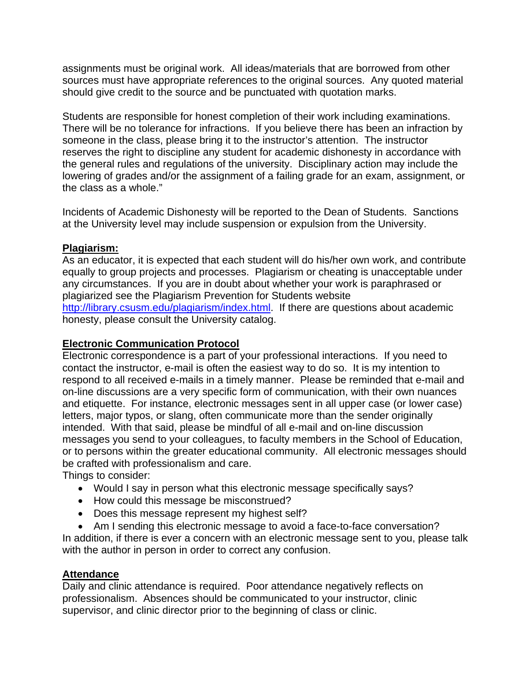assignments must be original work. All ideas/materials that are borrowed from other sources must have appropriate references to the original sources. Any quoted material should give credit to the source and be punctuated with quotation marks.

Students are responsible for honest completion of their work including examinations. There will be no tolerance for infractions. If you believe there has been an infraction by someone in the class, please bring it to the instructor's attention. The instructor reserves the right to discipline any student for academic dishonesty in accordance with the general rules and regulations of the university. Disciplinary action may include the lowering of grades and/or the assignment of a failing grade for an exam, assignment, or the class as a whole."

Incidents of Academic Dishonesty will be reported to the Dean of Students. Sanctions at the University level may include suspension or expulsion from the University.

#### **Plagiarism:**

As an educator, it is expected that each student will do his/her own work, and contribute equally to group projects and processes. Plagiarism or cheating is unacceptable under any circumstances. If you are in doubt about whether your work is paraphrased or plagiarized see the Plagiarism Prevention for Students website http://library.csusm.edu/plagiarism/index.html. If there are questions about academic honesty, please consult the University catalog.

### **Electronic Communication Protocol**

Electronic correspondence is a part of your professional interactions. If you need to contact the instructor, e-mail is often the easiest way to do so. It is my intention to respond to all received e-mails in a timely manner. Please be reminded that e-mail and on-line discussions are a very specific form of communication, with their own nuances and etiquette. For instance, electronic messages sent in all upper case (or lower case) letters, major typos, or slang, often communicate more than the sender originally intended. With that said, please be mindful of all e-mail and on-line discussion messages you send to your colleagues, to faculty members in the School of Education, or to persons within the greater educational community. All electronic messages should be crafted with professionalism and care.

Things to consider:

- Would I say in person what this electronic message specifically says?
- How could this message be misconstrued?
- Does this message represent my highest self?
- Am I sending this electronic message to avoid a face-to-face conversation?

In addition, if there is ever a concern with an electronic message sent to you, please talk with the author in person in order to correct any confusion.

#### **Attendance**

Daily and clinic attendance is required. Poor attendance negatively reflects on professionalism. Absences should be communicated to your instructor, clinic supervisor, and clinic director prior to the beginning of class or clinic.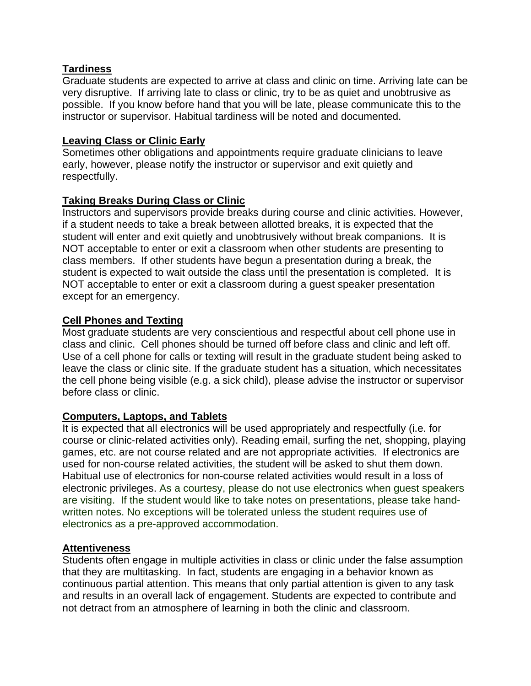### **Tardiness**

Graduate students are expected to arrive at class and clinic on time. Arriving late can be very disruptive. If arriving late to class or clinic, try to be as quiet and unobtrusive as possible. If you know before hand that you will be late, please communicate this to the instructor or supervisor. Habitual tardiness will be noted and documented.

#### **Leaving Class or Clinic Early**

Sometimes other obligations and appointments require graduate clinicians to leave early, however, please notify the instructor or supervisor and exit quietly and respectfully.

### **Taking Breaks During Class or Clinic**

Instructors and supervisors provide breaks during course and clinic activities. However, if a student needs to take a break between allotted breaks, it is expected that the student will enter and exit quietly and unobtrusively without break companions. It is NOT acceptable to enter or exit a classroom when other students are presenting to class members. If other students have begun a presentation during a break, the student is expected to wait outside the class until the presentation is completed. It is NOT acceptable to enter or exit a classroom during a guest speaker presentation except for an emergency.

### **Cell Phones and Texting**

Most graduate students are very conscientious and respectful about cell phone use in class and clinic. Cell phones should be turned off before class and clinic and left off. Use of a cell phone for calls or texting will result in the graduate student being asked to leave the class or clinic site. If the graduate student has a situation, which necessitates the cell phone being visible (e.g. a sick child), please advise the instructor or supervisor before class or clinic.

#### **Computers, Laptops, and Tablets**

It is expected that all electronics will be used appropriately and respectfully (i.e. for course or clinic-related activities only). Reading email, surfing the net, shopping, playing games, etc. are not course related and are not appropriate activities. If electronics are used for non-course related activities, the student will be asked to shut them down. Habitual use of electronics for non-course related activities would result in a loss of electronic privileges. As a courtesy, please do not use electronics when guest speakers are visiting. If the student would like to take notes on presentations, please take handwritten notes. No exceptions will be tolerated unless the student requires use of electronics as a pre-approved accommodation.

#### **Attentiveness**

Students often engage in multiple activities in class or clinic under the false assumption that they are multitasking. In fact, students are engaging in a behavior known as continuous partial attention. This means that only partial attention is given to any task and results in an overall lack of engagement. Students are expected to contribute and not detract from an atmosphere of learning in both the clinic and classroom.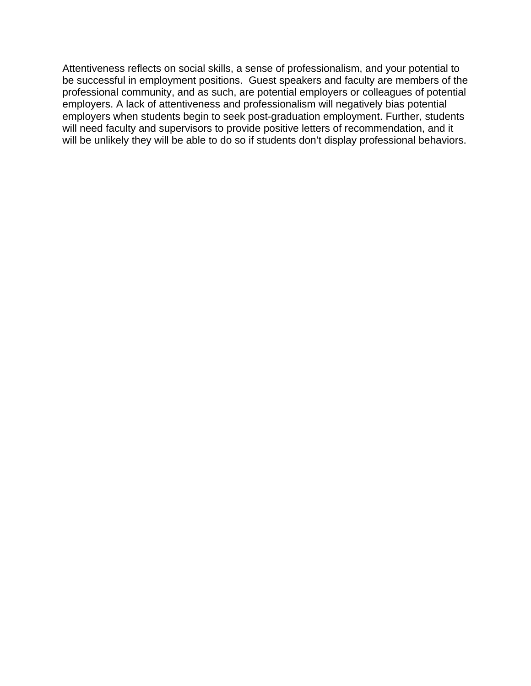Attentiveness reflects on social skills, a sense of professionalism, and your potential to be successful in employment positions. Guest speakers and faculty are members of the professional community, and as such, are potential employers or colleagues of potential employers. A lack of attentiveness and professionalism will negatively bias potential employers when students begin to seek post-graduation employment. Further, students will need faculty and supervisors to provide positive letters of recommendation, and it will be unlikely they will be able to do so if students don't display professional behaviors.